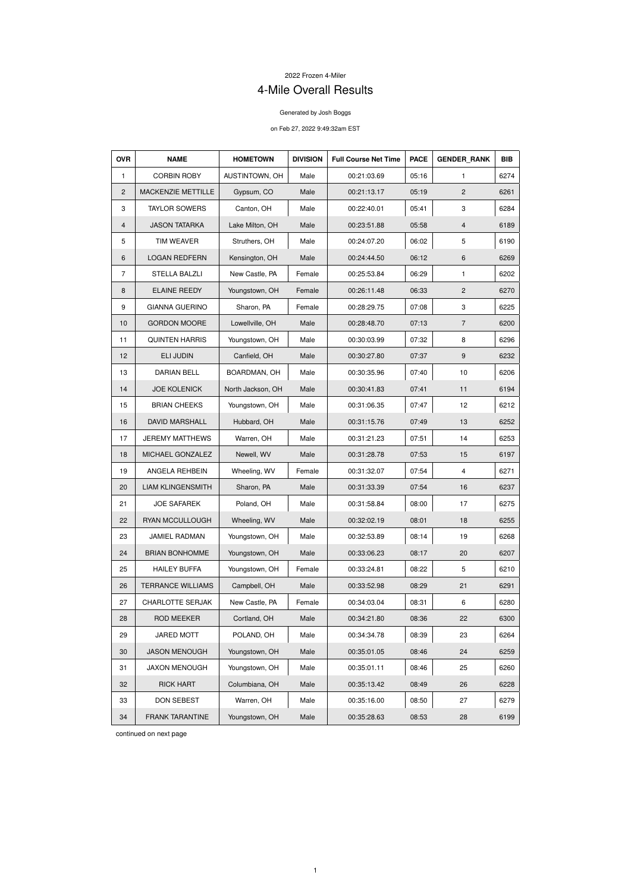## 2022 Frozen 4-Miler

## 4-Mile Overall Results

## Generated by Josh Boggs

## on Feb 27, 2022 9:49:32am EST

| <b>OVR</b>     | <b>NAME</b>              | <b>HOMETOWN</b>   | <b>DIVISION</b> | <b>Full Course Net Time</b> | <b>PACE</b> | <b>GENDER RANK</b> | <b>BIB</b> |
|----------------|--------------------------|-------------------|-----------------|-----------------------------|-------------|--------------------|------------|
| $\mathbf{1}$   | <b>CORBIN ROBY</b>       | AUSTINTOWN, OH    | Male            | 00:21:03.69                 | 05:16       | $\mathbf{1}$       | 6274       |
| $\mathbf{2}$   | MACKENZIE METTILLE       | Gypsum, CO        | Male            | 00:21:13.17                 | 05:19       | $\overline{2}$     | 6261       |
| 3              | <b>TAYLOR SOWERS</b>     | Canton, OH        | Male            | 00:22:40.01                 | 05:41       | 3                  | 6284       |
| 4              | <b>JASON TATARKA</b>     | Lake Milton, OH   | Male            | 00:23:51.88                 | 05:58       | $\overline{4}$     | 6189       |
| 5              | <b>TIM WEAVER</b>        | Struthers, OH     | Male            | 00:24:07.20                 | 06:02       | 5                  | 6190       |
| 6              | <b>LOGAN REDFERN</b>     | Kensington, OH    | Male            | 00:24:44.50                 | 06:12       | 6                  | 6269       |
| $\overline{7}$ | <b>STELLA BALZLI</b>     | New Castle, PA    | Female          | 00:25:53.84                 | 06:29       | 1                  | 6202       |
| 8              | <b>ELAINE REEDY</b>      | Youngstown, OH    | Female          | 00:26:11.48                 | 06:33       | $\overline{2}$     | 6270       |
| 9              | <b>GIANNA GUERINO</b>    | Sharon, PA        | Female          | 00:28:29.75                 | 07:08       | 3                  | 6225       |
| 10             | <b>GORDON MOORE</b>      | Lowellville, OH   | Male            | 00:28:48.70                 | 07:13       | $\overline{7}$     | 6200       |
| 11             | <b>QUINTEN HARRIS</b>    | Youngstown, OH    | Male            | 00:30:03.99                 | 07:32       | 8                  | 6296       |
| 12             | <b>ELI JUDIN</b>         | Canfield, OH      | Male            | 00:30:27.80                 | 07:37       | $\boldsymbol{9}$   | 6232       |
| 13             | <b>DARIAN BELL</b>       | BOARDMAN, OH      | Male            | 00:30:35.96                 | 07:40       | 10                 | 6206       |
| 14             | <b>JOE KOLENICK</b>      | North Jackson, OH | Male            | 00:30:41.83                 | 07:41       | 11                 | 6194       |
| 15             | <b>BRIAN CHEEKS</b>      | Youngstown, OH    | Male            | 00:31:06.35                 | 07:47       | 12                 | 6212       |
| 16             | <b>DAVID MARSHALL</b>    | Hubbard, OH       | Male            | 00:31:15.76                 | 07:49       | 13                 | 6252       |
| 17             | <b>JEREMY MATTHEWS</b>   | Warren, OH        | Male            | 00:31:21.23                 | 07:51       | 14                 | 6253       |
| 18             | MICHAEL GONZALEZ         | Newell, WV        | Male            | 00:31:28.78                 | 07:53       | 15                 | 6197       |
| 19             | ANGELA REHBEIN           | Wheeling, WV      | Female          | 00:31:32.07                 | 07:54       | 4                  | 6271       |
| 20             | <b>LIAM KLINGENSMITH</b> | Sharon, PA        | Male            | 00:31:33.39                 | 07:54       | 16                 | 6237       |
| 21             | <b>JOE SAFAREK</b>       | Poland, OH        | Male            | 00:31:58.84                 | 08:00       | 17                 | 6275       |
| 22             | RYAN MCCULLOUGH          | Wheeling, WV      | Male            | 00:32:02.19                 | 08:01       | 18                 | 6255       |
| 23             | JAMIEL RADMAN            | Youngstown, OH    | Male            | 00:32:53.89                 | 08:14       | 19                 | 6268       |
| 24             | <b>BRIAN BONHOMME</b>    | Youngstown, OH    | Male            | 00:33:06.23                 | 08:17       | 20                 | 6207       |
| 25             | <b>HAILEY BUFFA</b>      | Youngstown, OH    | Female          | 00:33:24.81                 | 08:22       | 5                  | 6210       |
| 26             | <b>TERRANCE WILLIAMS</b> | Campbell, OH      | Male            | 00:33:52.98                 | 08:29       | 21                 | 6291       |
| 27             | <b>CHARLOTTE SERJAK</b>  | New Castle, PA    | Female          | 00:34:03.04                 | 08:31       | 6                  | 6280       |
| 28             | <b>ROD MEEKER</b>        | Cortland, OH      | Male            | 00:34:21.80                 | 08:36       | 22                 | 6300       |
| 29             | <b>JARED MOTT</b>        | POLAND, OH        | Male            | 00:34:34.78                 | 08:39       | 23                 | 6264       |
| 30             | <b>JASON MENOUGH</b>     | Youngstown, OH    | Male            | 00:35:01.05                 | 08:46       | 24                 | 6259       |
| 31             | <b>JAXON MENOUGH</b>     | Youngstown, OH    | Male            | 00:35:01.11                 | 08:46       | 25                 | 6260       |
| 32             | <b>RICK HART</b>         | Columbiana, OH    | Male            | 00:35:13.42                 | 08:49       | 26                 | 6228       |
| 33             | DON SEBEST               | Warren, OH        | Male            | 00:35:16.00                 | 08:50       | 27                 | 6279       |
| 34             | <b>FRANK TARANTINE</b>   | Youngstown, OH    | Male            | 00:35:28.63                 | 08:53       | 28                 | 6199       |

continued on next page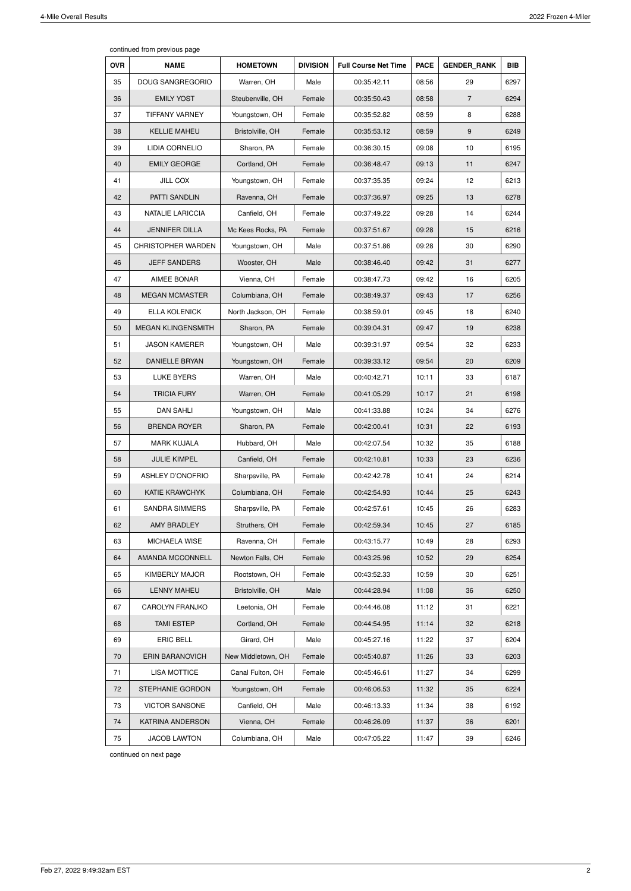continued from previous page

| <b>OVR</b> | <b>NAME</b>               | <b>HOMETOWN</b>    | <b>DIVISION</b> | <b>Full Course Net Time</b> | <b>PACE</b> | <b>GENDER RANK</b> | <b>BIB</b> |
|------------|---------------------------|--------------------|-----------------|-----------------------------|-------------|--------------------|------------|
| 35         | <b>DOUG SANGREGORIO</b>   | Warren, OH         | Male            | 00:35:42.11                 | 08:56       | 29                 | 6297       |
| 36         | <b>EMILY YOST</b>         | Steubenville, OH   | Female          | 00:35:50.43                 | 08:58       | 7                  | 6294       |
| 37         | <b>TIFFANY VARNEY</b>     | Youngstown, OH     | Female          | 00:35:52.82                 | 08:59       | 8                  | 6288       |
| 38         | <b>KELLIE MAHEU</b>       | Bristolville, OH   | Female          | 00:35:53.12                 | 08:59       | 9                  | 6249       |
| 39         | <b>LIDIA CORNELIO</b>     | Sharon, PA         | Female          | 00:36:30.15                 | 09:08       | 10                 | 6195       |
| 40         | <b>EMILY GEORGE</b>       | Cortland, OH       | Female          | 00:36:48.47                 | 09:13       | 11                 | 6247       |
| 41         | <b>JILL COX</b>           | Youngstown, OH     | Female          | 00:37:35.35                 | 09:24       | 12                 | 6213       |
| 42         | PATTI SANDLIN             | Ravenna, OH        | Female          | 00:37:36.97                 | 09:25       | 13                 | 6278       |
| 43         | <b>NATALIE LARICCIA</b>   | Canfield, OH       | Female          | 00:37:49.22                 | 09:28       | 14                 | 6244       |
| 44         | <b>JENNIFER DILLA</b>     | Mc Kees Rocks, PA  | Female          | 00:37:51.67                 | 09:28       | 15                 | 6216       |
| 45         | <b>CHRISTOPHER WARDEN</b> | Youngstown, OH     | Male            | 00:37:51.86                 | 09:28       | 30                 | 6290       |
| 46         | <b>JEFF SANDERS</b>       | Wooster, OH        | Male            | 00:38:46.40                 | 09:42       | 31                 | 6277       |
| 47         | <b>AIMEE BONAR</b>        | Vienna, OH         | Female          | 00:38:47.73                 | 09:42       | 16                 | 6205       |
| 48         | <b>MEGAN MCMASTER</b>     | Columbiana, OH     | Female          | 00:38:49.37                 | 09:43       | 17                 | 6256       |
| 49         | <b>ELLA KOLENICK</b>      | North Jackson, OH  | Female          | 00:38:59.01                 | 09:45       | 18                 | 6240       |
| 50         | <b>MEGAN KLINGENSMITH</b> | Sharon, PA         | Female          | 00:39:04.31                 | 09:47       | 19                 | 6238       |
| 51         | <b>JASON KAMERER</b>      | Youngstown, OH     | Male            | 00:39:31.97                 | 09:54       | 32                 | 6233       |
| 52         | DANIELLE BRYAN            | Youngstown, OH     | Female          | 00:39:33.12                 | 09:54       | 20                 | 6209       |
| 53         | <b>LUKE BYERS</b>         | Warren, OH         | Male            | 00:40:42.71                 | 10:11       | 33                 | 6187       |
| 54         | <b>TRICIA FURY</b>        | Warren, OH         | Female          | 00:41:05.29                 | 10:17       | 21                 | 6198       |
| 55         | <b>DAN SAHLI</b>          | Youngstown, OH     | Male            | 00:41:33.88                 | 10:24       | 34                 | 6276       |
| 56         | <b>BRENDA ROYER</b>       | Sharon, PA         | Female          | 00:42:00.41                 | 10:31       | 22                 | 6193       |
| 57         | <b>MARK KUJALA</b>        | Hubbard, OH        | Male            | 00:42:07.54                 | 10:32       | 35                 | 6188       |
| 58         | <b>JULIE KIMPEL</b>       | Canfield, OH       | Female          | 00:42:10.81                 | 10:33       | 23                 | 6236       |
| 59         | <b>ASHLEY D'ONOFRIO</b>   | Sharpsville, PA    | Female          | 00:42:42.78                 | 10:41       | 24                 | 6214       |
| 60         | <b>KATIE KRAWCHYK</b>     | Columbiana, OH     | Female          | 00:42:54.93                 | 10:44       | 25                 | 6243       |
| 61         | <b>SANDRA SIMMERS</b>     | Sharpsville, PA    | Female          | 00:42:57.61                 | 10:45       | 26                 | 6283       |
| 62         | AMY BRADLEY               | Struthers, OH      | Female          | 00:42:59.34                 | 10:45       | 27                 | 6185       |
| 63         | MICHAELA WISE             | Ravenna, OH        | Female          | 00:43:15.77                 | 10:49       | 28                 | 6293       |
| 64         | AMANDA MCCONNELL          | Newton Falls, OH   | Female          | 00:43:25.96                 | 10:52       | 29                 | 6254       |
| 65         | <b>KIMBERLY MAJOR</b>     | Rootstown, OH      | Female          | 00:43:52.33                 | 10:59       | 30                 | 6251       |
| 66         | <b>LENNY MAHEU</b>        | Bristolville, OH   | Male            | 00:44:28.94                 | 11:08       | 36                 | 6250       |
| 67         | <b>CAROLYN FRANJKO</b>    | Leetonia, OH       | Female          | 00:44:46.08                 | 11:12       | 31                 | 6221       |
| 68         | <b>TAMI ESTEP</b>         | Cortland, OH       | Female          | 00:44:54.95                 | 11:14       | 32                 | 6218       |
| 69         | <b>ERIC BELL</b>          | Girard, OH         | Male            | 00:45:27.16                 | 11:22       | 37                 | 6204       |
| 70         | <b>ERIN BARANOVICH</b>    | New Middletown, OH | Female          | 00:45:40.87                 | 11:26       | 33                 | 6203       |
| 71         | <b>LISA MOTTICE</b>       | Canal Fulton, OH   | Female          | 00:45:46.61                 | 11:27       | 34                 | 6299       |
| 72         | STEPHANIE GORDON          | Youngstown, OH     | Female          | 00:46:06.53                 | 11:32       | 35                 | 6224       |
| 73         | <b>VICTOR SANSONE</b>     | Canfield, OH       | Male            | 00:46:13.33                 | 11:34       | 38                 | 6192       |
| 74         | KATRINA ANDERSON          | Vienna, OH         | Female          | 00:46:26.09                 | 11:37       | 36                 | 6201       |
| 75         | <b>JACOB LAWTON</b>       | Columbiana, OH     | Male            | 00:47:05.22                 | 11:47       | 39                 | 6246       |

continued on next page